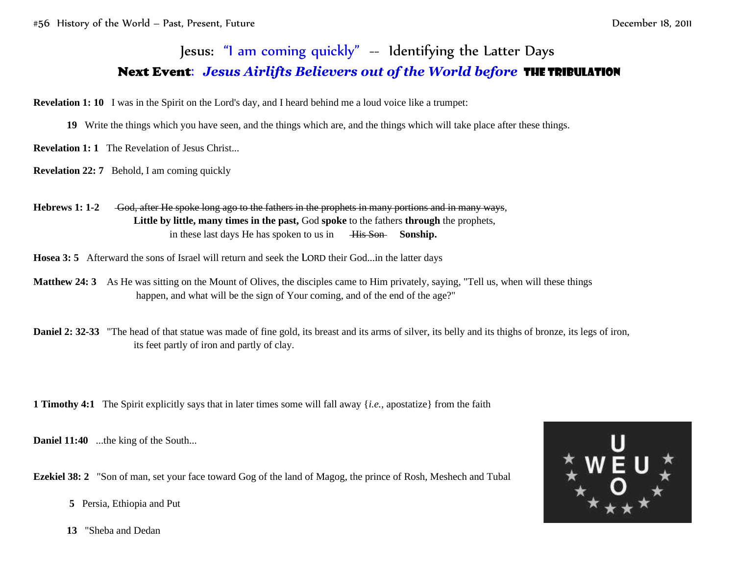## Jesus: "I am coming quickly" -- Identifying the Latter Days Next Event: *Jesus Airlifts Believers out of the World before* the Tribulation

**Revelation 1: 10** I was in the Spirit on the Lord's day, and I heard behind me a loud voice like a trumpet:

**19** Write the things which you have seen, and the things which are, and the things which will take place after these things.

**Revelation 1: 1** The Revelation of Jesus Christ...

**Revelation 22: 7** Behold, I am coming quickly

**Hebrews 1: 1-2** God, after He spoke long ago to the fathers in the prophets in many portions and in many ways, **Little by little, many times in the past,** God **spoke** to the fathers **through** the prophets, in these last days He has spoken to us in His Son Sonship.

**Hosea 3: 5** Afterward the sons of Israel will return and seek the LORD their God...in the latter days

**Matthew 24: 3** As He was sitting on the Mount of Olives, the disciples came to Him privately, saying, "Tell us, when will these things happen, and what will be the sign of Your coming, and of the end of the age?"

**Daniel 2: 32-33** "The head of that statue was made of fine gold, its breast and its arms of silver, its belly and its thighs of bronze, its legs of iron, its feet partly of iron and partly of clay.

**1 Timothy 4:1** The Spirit explicitly says that in later times some will fall away {*i.e.,* apostatize} from the faith

**Daniel 11:40** ...the king of the South...

**Ezekiel 38: 2** "Son of man, set your face toward Gog of the land of Magog, the prince of Rosh, Meshech and Tubal





**13** "Sheba and Dedan